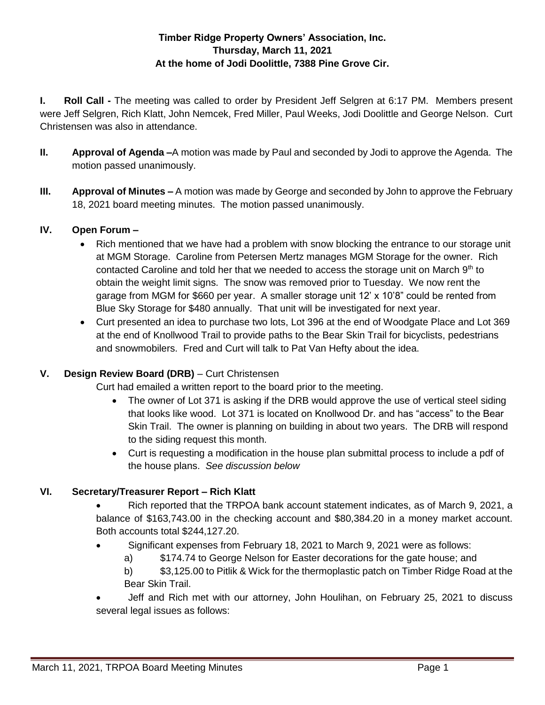### **Timber Ridge Property Owners' Association, Inc. Thursday, March 11, 2021 At the home of Jodi Doolittle, 7388 Pine Grove Cir.**

**I. Roll Call -** The meeting was called to order by President Jeff Selgren at 6:17 PM. Members present were Jeff Selgren, Rich Klatt, John Nemcek, Fred Miller, Paul Weeks, Jodi Doolittle and George Nelson. Curt Christensen was also in attendance.

- **II. Approval of Agenda –**A motion was made by Paul and seconded by Jodi to approve the Agenda. The motion passed unanimously.
- **III. Approval of Minutes –** A motion was made by George and seconded by John to approve the February 18, 2021 board meeting minutes. The motion passed unanimously.

### **IV. Open Forum –**

- Rich mentioned that we have had a problem with snow blocking the entrance to our storage unit at MGM Storage. Caroline from Petersen Mertz manages MGM Storage for the owner. Rich contacted Caroline and told her that we needed to access the storage unit on March  $9<sup>th</sup>$  to obtain the weight limit signs. The snow was removed prior to Tuesday. We now rent the garage from MGM for \$660 per year. A smaller storage unit 12' x 10'8" could be rented from Blue Sky Storage for \$480 annually. That unit will be investigated for next year.
- Curt presented an idea to purchase two lots, Lot 396 at the end of Woodgate Place and Lot 369 at the end of Knollwood Trail to provide paths to the Bear Skin Trail for bicyclists, pedestrians and snowmobilers. Fred and Curt will talk to Pat Van Hefty about the idea.

### **V. Design Review Board (DRB)** – Curt Christensen

Curt had emailed a written report to the board prior to the meeting.

- The owner of Lot 371 is asking if the DRB would approve the use of vertical steel siding that looks like wood. Lot 371 is located on Knollwood Dr. and has "access" to the Bear Skin Trail. The owner is planning on building in about two years. The DRB will respond to the siding request this month.
- Curt is requesting a modification in the house plan submittal process to include a pdf of the house plans. *See discussion below*

# **VI. Secretary/Treasurer Report – Rich Klatt**

- Rich reported that the TRPOA bank account statement indicates, as of March 9, 2021, a balance of \$163,743.00 in the checking account and \$80,384.20 in a money market account. Both accounts total \$244,127.20.
- Significant expenses from February 18, 2021 to March 9, 2021 were as follows:
	- a) \$174.74 to George Nelson for Easter decorations for the gate house; and
	- b) \$3,125.00 to Pitlik & Wick for the thermoplastic patch on Timber Ridge Road at the Bear Skin Trail.
- Jeff and Rich met with our attorney, John Houlihan, on February 25, 2021 to discuss several legal issues as follows: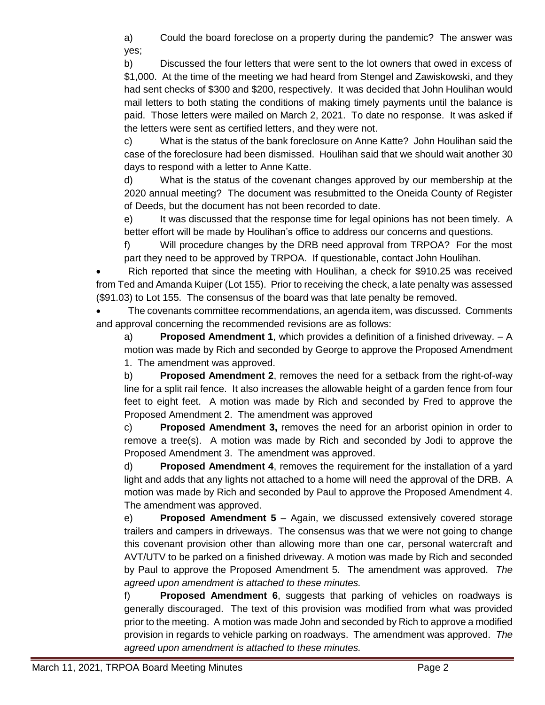a) Could the board foreclose on a property during the pandemic? The answer was yes;

b) Discussed the four letters that were sent to the lot owners that owed in excess of \$1,000. At the time of the meeting we had heard from Stengel and Zawiskowski, and they had sent checks of \$300 and \$200, respectively. It was decided that John Houlihan would mail letters to both stating the conditions of making timely payments until the balance is paid. Those letters were mailed on March 2, 2021. To date no response. It was asked if the letters were sent as certified letters, and they were not.

c) What is the status of the bank foreclosure on Anne Katte? John Houlihan said the case of the foreclosure had been dismissed. Houlihan said that we should wait another 30 days to respond with a letter to Anne Katte.

d) What is the status of the covenant changes approved by our membership at the 2020 annual meeting? The document was resubmitted to the Oneida County of Register of Deeds, but the document has not been recorded to date.

e) It was discussed that the response time for legal opinions has not been timely. A better effort will be made by Houlihan's office to address our concerns and questions.

f) Will procedure changes by the DRB need approval from TRPOA? For the most part they need to be approved by TRPOA. If questionable, contact John Houlihan.

 Rich reported that since the meeting with Houlihan, a check for \$910.25 was received from Ted and Amanda Kuiper (Lot 155). Prior to receiving the check, a late penalty was assessed (\$91.03) to Lot 155. The consensus of the board was that late penalty be removed.

 The covenants committee recommendations, an agenda item, was discussed. Comments and approval concerning the recommended revisions are as follows:

a) **Proposed Amendment 1**, which provides a definition of a finished driveway. – A motion was made by Rich and seconded by George to approve the Proposed Amendment 1. The amendment was approved.

b) **Proposed Amendment 2**, removes the need for a setback from the right-of-way line for a split rail fence. It also increases the allowable height of a garden fence from four feet to eight feet. A motion was made by Rich and seconded by Fred to approve the Proposed Amendment 2. The amendment was approved

c) **Proposed Amendment 3,** removes the need for an arborist opinion in order to remove a tree(s). A motion was made by Rich and seconded by Jodi to approve the Proposed Amendment 3. The amendment was approved.

d) **Proposed Amendment 4**, removes the requirement for the installation of a yard light and adds that any lights not attached to a home will need the approval of the DRB. A motion was made by Rich and seconded by Paul to approve the Proposed Amendment 4. The amendment was approved.

e) **Proposed Amendment 5** – Again, we discussed extensively covered storage trailers and campers in driveways. The consensus was that we were not going to change this covenant provision other than allowing more than one car, personal watercraft and AVT/UTV to be parked on a finished driveway. A motion was made by Rich and seconded by Paul to approve the Proposed Amendment 5. The amendment was approved. *The agreed upon amendment is attached to these minutes.* 

f) **Proposed Amendment 6**, suggests that parking of vehicles on roadways is generally discouraged. The text of this provision was modified from what was provided prior to the meeting. A motion was made John and seconded by Rich to approve a modified provision in regards to vehicle parking on roadways. The amendment was approved. *The agreed upon amendment is attached to these minutes.*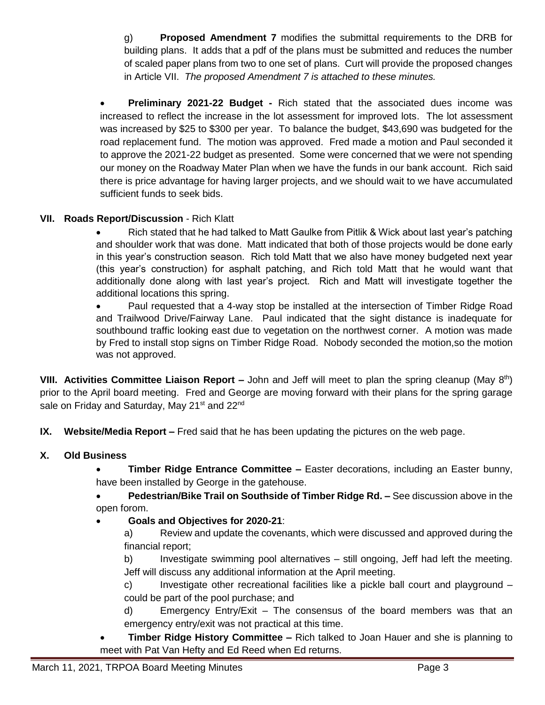g) **Proposed Amendment 7** modifies the submittal requirements to the DRB for building plans. It adds that a pdf of the plans must be submitted and reduces the number of scaled paper plans from two to one set of plans. Curt will provide the proposed changes in Article VII. *The proposed Amendment 7 is attached to these minutes.*

 **Preliminary 2021-22 Budget -** Rich stated that the associated dues income was increased to reflect the increase in the lot assessment for improved lots. The lot assessment was increased by \$25 to \$300 per year. To balance the budget, \$43,690 was budgeted for the road replacement fund. The motion was approved. Fred made a motion and Paul seconded it to approve the 2021-22 budget as presented. Some were concerned that we were not spending our money on the Roadway Mater Plan when we have the funds in our bank account. Rich said there is price advantage for having larger projects, and we should wait to we have accumulated sufficient funds to seek bids.

# **VII. Roads Report/Discussion** - Rich Klatt

• Rich stated that he had talked to Matt Gaulke from Pitlik & Wick about last year's patching and shoulder work that was done. Matt indicated that both of those projects would be done early in this year's construction season. Rich told Matt that we also have money budgeted next year (this year's construction) for asphalt patching, and Rich told Matt that he would want that additionally done along with last year's project. Rich and Matt will investigate together the additional locations this spring.

• Paul requested that a 4-way stop be installed at the intersection of Timber Ridge Road and Trailwood Drive/Fairway Lane. Paul indicated that the sight distance is inadequate for southbound traffic looking east due to vegetation on the northwest corner. A motion was made by Fred to install stop signs on Timber Ridge Road. Nobody seconded the motion,so the motion was not approved.

**VIII. Activities Committee Liaison Report –** John and Jeff will meet to plan the spring cleanup (May 8th) prior to the April board meeting. Fred and George are moving forward with their plans for the spring garage sale on Friday and Saturday, May 21<sup>st</sup> and 22<sup>nd</sup>

**IX. Website/Media Report –** Fred said that he has been updating the pictures on the web page.

### **X. Old Business**

 **Timber Ridge Entrance Committee –** Easter decorations, including an Easter bunny, have been installed by George in the gatehouse.

**Pedestrian/Bike Trail on Southside of Timber Ridge Rd. –** See discussion above in the open forom.

# **Goals and Objectives for 2020-21**:

a) Review and update the covenants, which were discussed and approved during the financial report;

b) Investigate swimming pool alternatives – still ongoing, Jeff had left the meeting. Jeff will discuss any additional information at the April meeting.

c) Investigate other recreational facilities like a pickle ball court and playground – could be part of the pool purchase; and

d) Emergency Entry/Exit – The consensus of the board members was that an emergency entry/exit was not practical at this time.

 **Timber Ridge History Committee –** Rich talked to Joan Hauer and she is planning to meet with Pat Van Hefty and Ed Reed when Ed returns.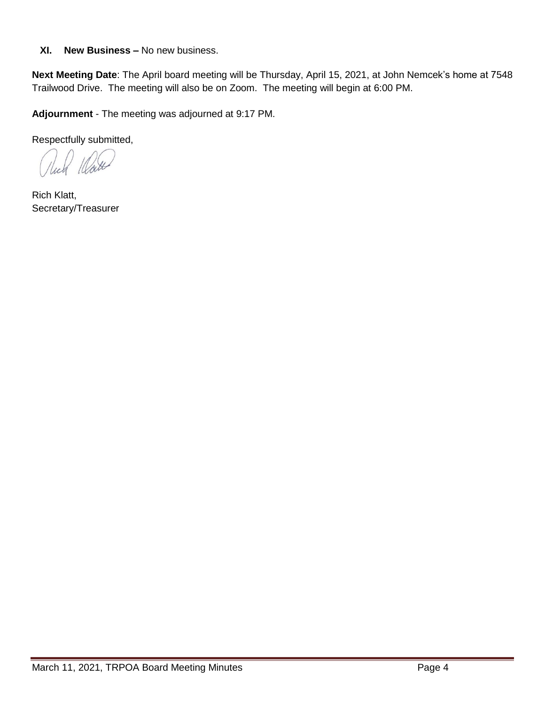### **XI. New Business –** No new business.

**Next Meeting Date**: The April board meeting will be Thursday, April 15, 2021, at John Nemcek's home at 7548 Trailwood Drive. The meeting will also be on Zoom. The meeting will begin at 6:00 PM.

**Adjournment** - The meeting was adjourned at 9:17 PM.

Respectfully submitted,

1 Mail

Rich Klatt, Secretary/Treasurer